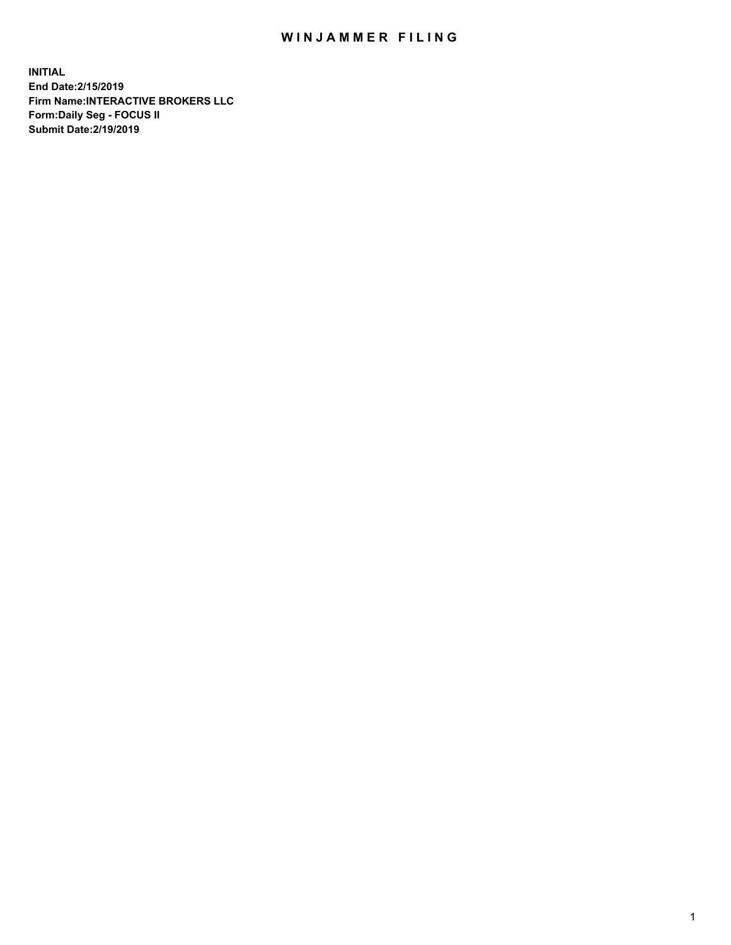## WIN JAMMER FILING

**INITIAL End Date:2/15/2019 Firm Name:INTERACTIVE BROKERS LLC Form:Daily Seg - FOCUS II Submit Date:2/19/2019**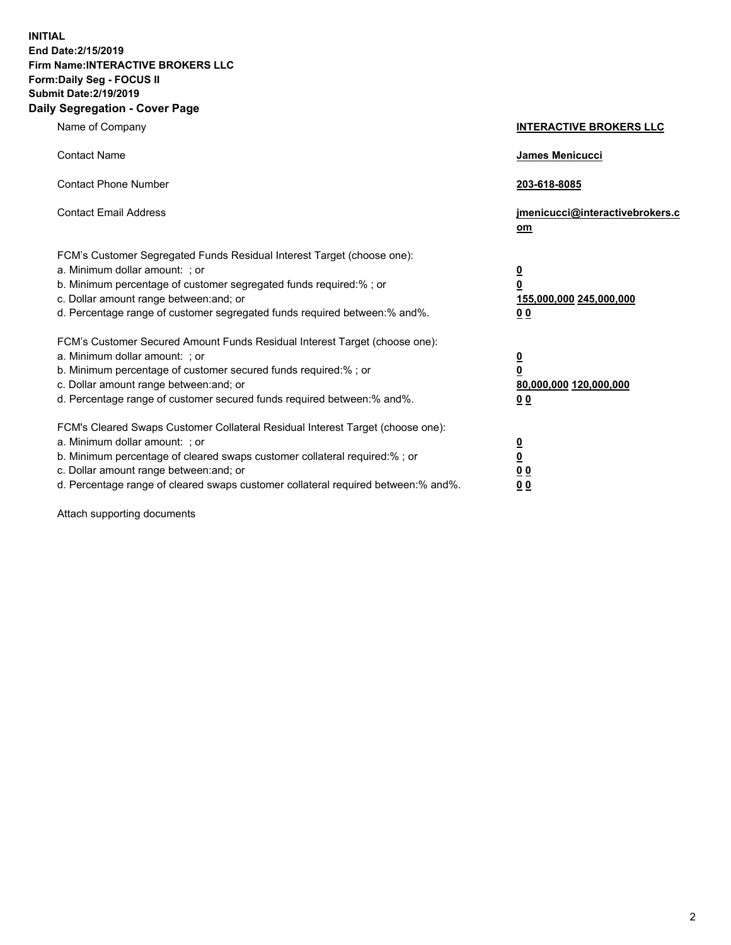**INITIAL End Date:2/15/2019 Firm Name:INTERACTIVE BROKERS LLC Form:Daily Seg - FOCUS II Submit Date:2/19/2019 Daily Segregation - Cover Page**

| Name of Company                                                                                                                                                                                                                                                                                                                | <b>INTERACTIVE BROKERS LLC</b>                                                                  |
|--------------------------------------------------------------------------------------------------------------------------------------------------------------------------------------------------------------------------------------------------------------------------------------------------------------------------------|-------------------------------------------------------------------------------------------------|
| <b>Contact Name</b>                                                                                                                                                                                                                                                                                                            | James Menicucci                                                                                 |
| <b>Contact Phone Number</b>                                                                                                                                                                                                                                                                                                    | 203-618-8085                                                                                    |
| <b>Contact Email Address</b>                                                                                                                                                                                                                                                                                                   | jmenicucci@interactivebrokers.c<br>om                                                           |
| FCM's Customer Segregated Funds Residual Interest Target (choose one):<br>a. Minimum dollar amount: ; or<br>b. Minimum percentage of customer segregated funds required:% ; or<br>c. Dollar amount range between: and; or<br>d. Percentage range of customer segregated funds required between:% and%.                         | $\overline{\mathbf{0}}$<br>$\overline{\mathbf{0}}$<br>155,000,000 245,000,000<br>0 <sub>0</sub> |
| FCM's Customer Secured Amount Funds Residual Interest Target (choose one):<br>a. Minimum dollar amount: ; or<br>b. Minimum percentage of customer secured funds required:% ; or<br>c. Dollar amount range between: and; or<br>d. Percentage range of customer secured funds required between:% and%.                           | $\overline{\mathbf{0}}$<br>0<br>80,000,000 120,000,000<br>0 <sub>0</sub>                        |
| FCM's Cleared Swaps Customer Collateral Residual Interest Target (choose one):<br>a. Minimum dollar amount: ; or<br>b. Minimum percentage of cleared swaps customer collateral required:% ; or<br>c. Dollar amount range between: and; or<br>d. Percentage range of cleared swaps customer collateral required between:% and%. | $\overline{\mathbf{0}}$<br><u>0</u><br>$\underline{0}$ $\underline{0}$<br>00                    |

Attach supporting documents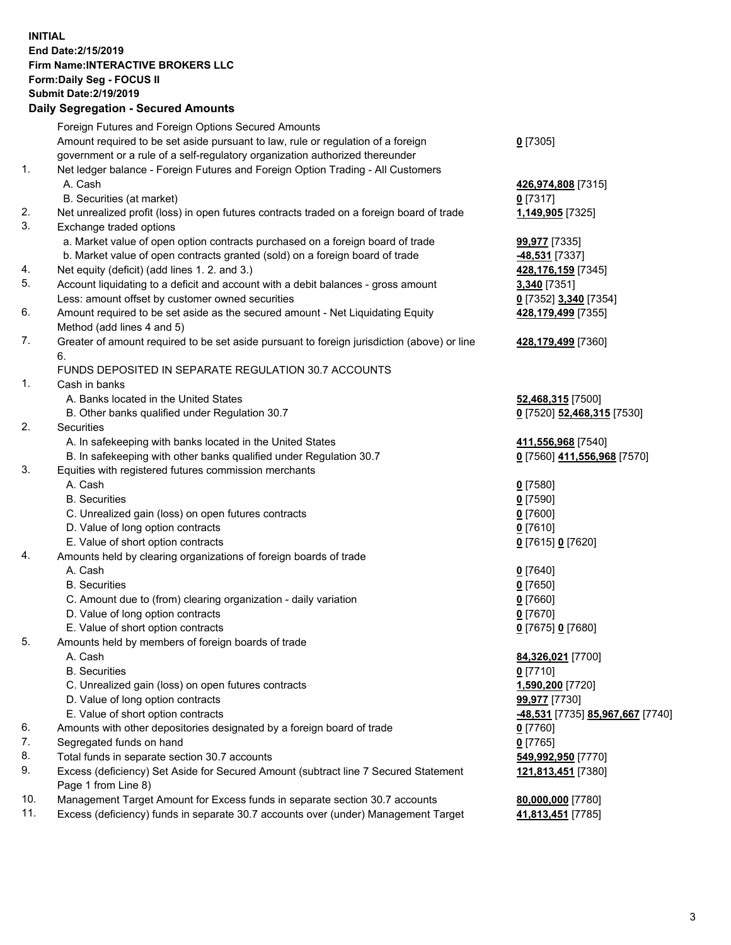## **INITIAL End Date:2/15/2019 Firm Name:INTERACTIVE BROKERS LLC Form:Daily Seg - FOCUS II Submit Date:2/19/2019 Daily Segregation - Secured Amounts**

|     | Dany Segregation - Secured Amounts                                                          |                                                      |
|-----|---------------------------------------------------------------------------------------------|------------------------------------------------------|
|     | Foreign Futures and Foreign Options Secured Amounts                                         |                                                      |
|     | Amount required to be set aside pursuant to law, rule or regulation of a foreign            | $0$ [7305]                                           |
|     | government or a rule of a self-regulatory organization authorized thereunder                |                                                      |
| 1.  | Net ledger balance - Foreign Futures and Foreign Option Trading - All Customers             |                                                      |
|     | A. Cash                                                                                     | 426,974,808 [7315]                                   |
|     | B. Securities (at market)                                                                   | $0$ [7317]                                           |
| 2.  | Net unrealized profit (loss) in open futures contracts traded on a foreign board of trade   | 1,149,905 [7325]                                     |
| 3.  | Exchange traded options                                                                     |                                                      |
|     | a. Market value of open option contracts purchased on a foreign board of trade              | 99,977 [7335]                                        |
|     | b. Market value of open contracts granted (sold) on a foreign board of trade                | -48,531 [7337]                                       |
| 4.  | Net equity (deficit) (add lines 1. 2. and 3.)                                               | 428,176,159 [7345]                                   |
| 5.  | Account liquidating to a deficit and account with a debit balances - gross amount           | 3,340 [7351]                                         |
|     | Less: amount offset by customer owned securities                                            | 0 [7352] 3,340 [7354]                                |
| 6.  | Amount required to be set aside as the secured amount - Net Liquidating Equity              | 428,179,499 [7355]                                   |
|     | Method (add lines 4 and 5)                                                                  |                                                      |
| 7.  | Greater of amount required to be set aside pursuant to foreign jurisdiction (above) or line | 428,179,499 [7360]                                   |
|     | 6.                                                                                          |                                                      |
|     | FUNDS DEPOSITED IN SEPARATE REGULATION 30.7 ACCOUNTS                                        |                                                      |
| 1.  | Cash in banks                                                                               |                                                      |
|     | A. Banks located in the United States                                                       | 52,468,315 [7500]                                    |
|     | B. Other banks qualified under Regulation 30.7                                              | 0 [7520] 52,468,315 [7530]                           |
| 2.  | Securities                                                                                  |                                                      |
|     | A. In safekeeping with banks located in the United States                                   | 411,556,968 [7540]                                   |
|     | B. In safekeeping with other banks qualified under Regulation 30.7                          | 0 [7560] 411,556,968 [7570]                          |
| 3.  | Equities with registered futures commission merchants                                       |                                                      |
|     | A. Cash                                                                                     | $0$ [7580]                                           |
|     | <b>B.</b> Securities                                                                        | $0$ [7590]                                           |
|     | C. Unrealized gain (loss) on open futures contracts                                         | $0$ [7600]                                           |
|     | D. Value of long option contracts                                                           | $0$ [7610]                                           |
| 4.  | E. Value of short option contracts                                                          | 0 [7615] 0 [7620]                                    |
|     | Amounts held by clearing organizations of foreign boards of trade<br>A. Cash                |                                                      |
|     | <b>B.</b> Securities                                                                        | $0$ [7640]                                           |
|     | C. Amount due to (from) clearing organization - daily variation                             | $0$ [7650]<br>$0$ [7660]                             |
|     | D. Value of long option contracts                                                           | $0$ [7670]                                           |
|     | E. Value of short option contracts                                                          | 0 [7675] 0 [7680]                                    |
| 5.  | Amounts held by members of foreign boards of trade                                          |                                                      |
|     | A. Cash                                                                                     | 84,326,021 [7700]                                    |
|     | <b>B.</b> Securities                                                                        | $0$ [7710]                                           |
|     | C. Unrealized gain (loss) on open futures contracts                                         | 1,590,200 [7720]                                     |
|     | D. Value of long option contracts                                                           | 99,977 [7730]                                        |
|     | E. Value of short option contracts                                                          | <mark>-48,531</mark> [7735] <b>85,967,667</b> [7740] |
| 6.  | Amounts with other depositories designated by a foreign board of trade                      | $0$ [7760]                                           |
| 7.  | Segregated funds on hand                                                                    | $0$ [7765]                                           |
| 8.  | Total funds in separate section 30.7 accounts                                               | 549,992,950 [7770]                                   |
| 9.  | Excess (deficiency) Set Aside for Secured Amount (subtract line 7 Secured Statement         | 121,813,451 [7380]                                   |
|     | Page 1 from Line 8)                                                                         |                                                      |
| 10. | Management Target Amount for Excess funds in separate section 30.7 accounts                 | 80,000,000 [7780]                                    |
| 11. | Excess (deficiency) funds in separate 30.7 accounts over (under) Management Target          | 41,813,451 [7785]                                    |
|     |                                                                                             |                                                      |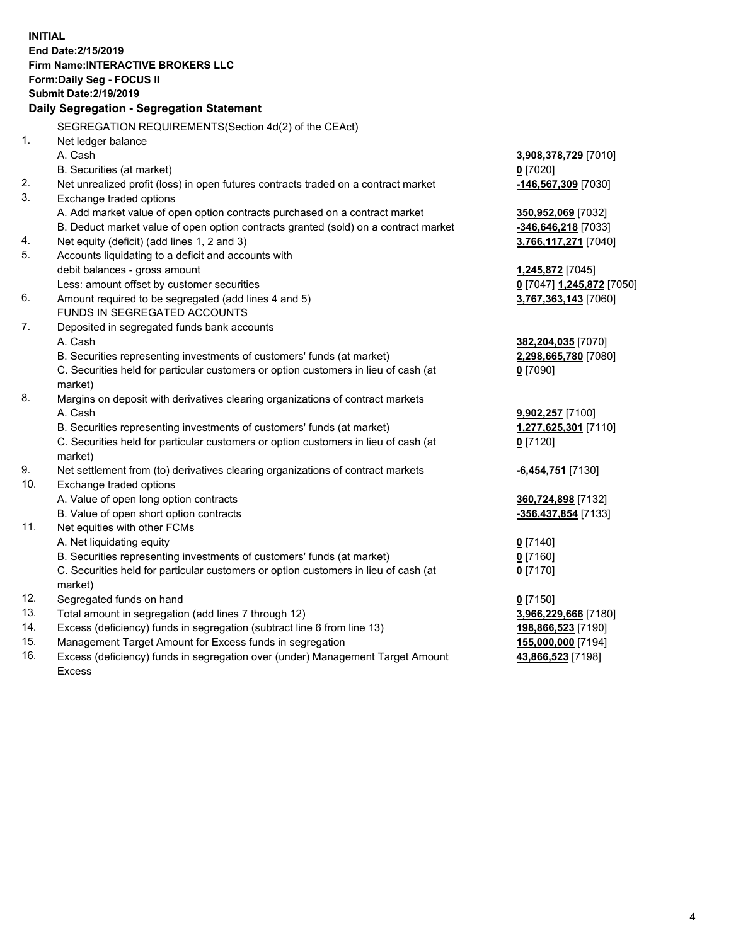**INITIAL End Date:2/15/2019 Firm Name:INTERACTIVE BROKERS LLC Form:Daily Seg - FOCUS II Submit Date:2/19/2019 Daily Segregation - Segregation Statement** SEGREGATION REQUIREMENTS(Section 4d(2) of the CEAct) 1. Net ledger balance A. Cash **3,908,378,729** [7010] B. Securities (at market) **0** [7020] 2. Net unrealized profit (loss) in open futures contracts traded on a contract market **-146,567,309** [7030] 3. Exchange traded options A. Add market value of open option contracts purchased on a contract market **350,952,069** [7032] B. Deduct market value of open option contracts granted (sold) on a contract market **-346,646,218** [7033] 4. Net equity (deficit) (add lines 1, 2 and 3) **3,766,117,271** [7040] 5. Accounts liquidating to a deficit and accounts with debit balances - gross amount **1,245,872** [7045] Less: amount offset by customer securities **0** [7047] **1,245,872** [7050] 6. Amount required to be segregated (add lines 4 and 5) **3,767,363,143** [7060] FUNDS IN SEGREGATED ACCOUNTS 7. Deposited in segregated funds bank accounts A. Cash **382,204,035** [7070] B. Securities representing investments of customers' funds (at market) **2,298,665,780** [7080] C. Securities held for particular customers or option customers in lieu of cash (at market) **0** [7090] 8. Margins on deposit with derivatives clearing organizations of contract markets A. Cash **9,902,257** [7100] B. Securities representing investments of customers' funds (at market) **1,277,625,301** [7110] C. Securities held for particular customers or option customers in lieu of cash (at market) **0** [7120] 9. Net settlement from (to) derivatives clearing organizations of contract markets **-6,454,751** [7130] 10. Exchange traded options A. Value of open long option contracts **360,724,898** [7132] B. Value of open short option contracts **-356,437,854** [7133] 11. Net equities with other FCMs A. Net liquidating equity **0** [7140] B. Securities representing investments of customers' funds (at market) **0** [7160] C. Securities held for particular customers or option customers in lieu of cash (at market) **0** [7170] 12. Segregated funds on hand **0** [7150] 13. Total amount in segregation (add lines 7 through 12) **3,966,229,666** [7180] 14. Excess (deficiency) funds in segregation (subtract line 6 from line 13) **198,866,523** [7190] 15. Management Target Amount for Excess funds in segregation **155,000,000** [7194] **43,866,523** [7198]

16. Excess (deficiency) funds in segregation over (under) Management Target Amount Excess